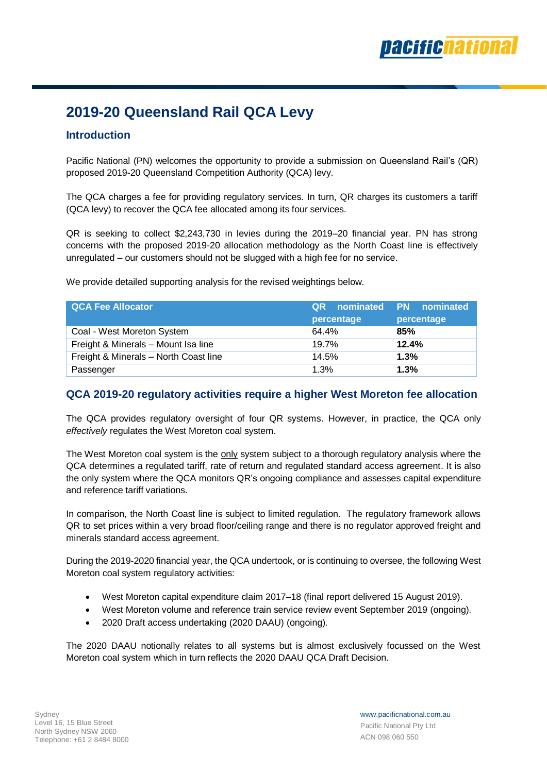# **2019-20 Queensland Rail QCA Levy**

### **Introduction**

Pacific National (PN) welcomes the opportunity to provide a submission on Queensland Rail's (QR) proposed 2019-20 Queensland Competition Authority (QCA) levy.

The QCA charges a fee for providing regulatory services. In turn, QR charges its customers a tariff (QCA levy) to recover the QCA fee allocated among its four services.

QR is seeking to collect \$2,243,730 in levies during the 2019–20 financial year. PN has strong concerns with the proposed 2019-20 allocation methodology as the North Coast line is effectively unregulated – our customers should not be slugged with a high fee for no service.

We provide detailed supporting analysis for the revised weightings below.

| <b>QCA Fee Allocator</b>              | <b>QR</b> nominated PN nominated |            |
|---------------------------------------|----------------------------------|------------|
|                                       | percentage                       | percentage |
| Coal - West Moreton System            | 64.4%                            | 85%        |
| Freight & Minerals - Mount Isa line   | 19.7%                            | 12.4%      |
| Freight & Minerals - North Coast line | 14.5%                            | 1.3%       |
| Passenger                             | 1.3%                             | 1.3%       |

#### **QCA 2019-20 regulatory activities require a higher West Moreton fee allocation**

The QCA provides regulatory oversight of four QR systems. However, in practice, the QCA only *effectively* regulates the West Moreton coal system.

The West Moreton coal system is the only system subject to a thorough regulatory analysis where the QCA determines a regulated tariff, rate of return and regulated standard access agreement. It is also the only system where the QCA monitors QR's ongoing compliance and assesses capital expenditure and reference tariff variations.

In comparison, the North Coast line is subject to limited regulation. The regulatory framework allows QR to set prices within a very broad floor/ceiling range and there is no regulator approved freight and minerals standard access agreement.

During the 2019-2020 financial year, the QCA undertook, or is continuing to oversee, the following West Moreton coal system regulatory activities:

- West Moreton capital expenditure claim 2017–18 (final report delivered 15 August 2019).
- West Moreton volume and reference train service review event September 2019 (ongoing).
- 2020 Draft access undertaking (2020 DAAU) (ongoing).

The 2020 DAAU notionally relates to all systems but is almost exclusively focussed on the West Moreton coal system which in turn reflects the 2020 DAAU QCA Draft Decision.